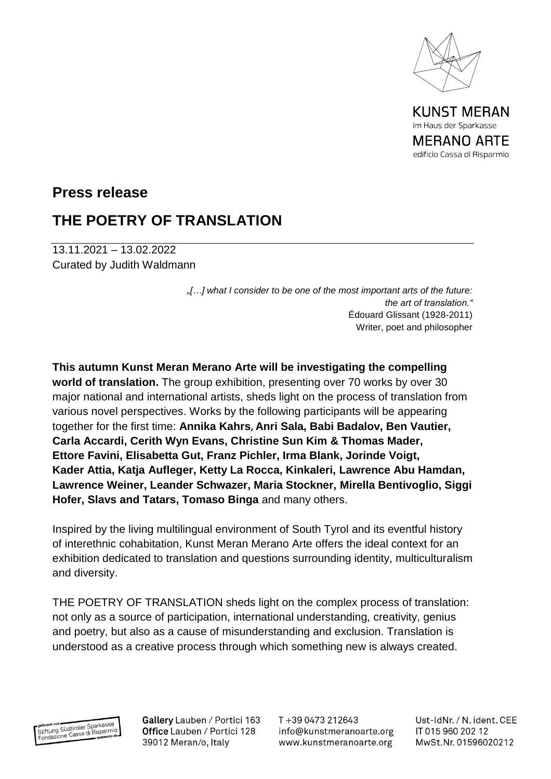

KUNST MERAN im Haus der Sparkasse MERANO ARTE edificio Cassa di Risparmio

## **Press release**

## **THE POETRY OF TRANSLATION**

13.11.2021 – 13.02.2022 Curated by Judith Waldmann

> *"[…] what I consider to be one of the most important arts of the future: the art of translation."* Édouard Glissant (1928-2011) Writer, poet and philosopher

**This autumn Kunst Meran Merano Arte will be investigating the compelling world of translation.** The group exhibition, presenting over 70 works by over 30 major national and international artists, sheds light on the process of translation from various novel perspectives. Works by the following participants will be appearing together for the first time: **Annika Kahrs, Anri Sala, Babi Badalov, Ben Vautier, Carla Accardi, Cerith Wyn Evans, Christine Sun Kim & Thomas Mader, Ettore Favini, Elisabetta Gut, Franz Pichler, Irma Blank, Jorinde Voigt, Kader Attia, Katja Aufleger, Ketty La Rocca, Kinkaleri, Lawrence Abu Hamdan, Lawrence Weiner, Leander Schwazer, Maria Stockner, Mirella Bentivoglio, Siggi Hofer, Slavs and Tatars, Tomaso Binga** and many others.

Inspired by the living multilingual environment of South Tyrol and its eventful history of interethnic cohabitation, Kunst Meran Merano Arte offers the ideal context for an exhibition dedicated to translation and questions surrounding identity, multiculturalism and diversity.

THE POETRY OF TRANSLATION sheds light on the complex process of translation: not only as a source of participation, international understanding, creativity, genius and poetry, but also as a cause of misunderstanding and exclusion. Translation is understood as a creative process through which something new is always created.



Gallery Lauben / Portici 163 Office Lauben / Portici 128 39012 Meran/o, Italy

T+39 0473 212643 info@kunstmeranoarte.org www.kunstmeranoarte.org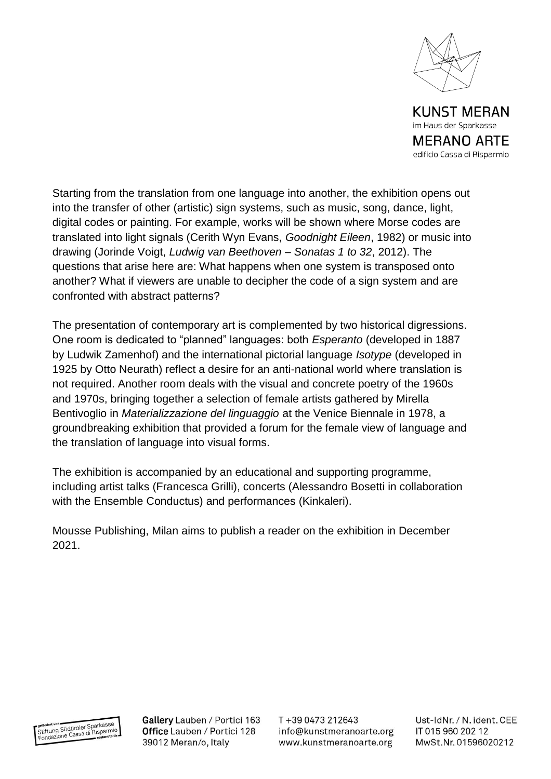

MERANO ARTE edificio Cassa di Risparmio

Starting from the translation from one language into another, the exhibition opens out into the transfer of other (artistic) sign systems, such as music, song, dance, light, digital codes or painting. For example, works will be shown where Morse codes are translated into light signals (Cerith Wyn Evans, *Goodnight Eileen*, 1982) or music into drawing (Jorinde Voigt, *Ludwig van Beethoven – Sonatas 1 to 32*, 2012). The questions that arise here are: What happens when one system is transposed onto another? What if viewers are unable to decipher the code of a sign system and are confronted with abstract patterns?

The presentation of contemporary art is complemented by two historical digressions. One room is dedicated to "planned" languages: both *Esperanto* (developed in 1887 by Ludwik Zamenhof) and the international pictorial language *Isotype* (developed in 1925 by Otto Neurath) reflect a desire for an anti-national world where translation is not required. Another room deals with the visual and concrete poetry of the 1960s and 1970s, bringing together a selection of female artists gathered by Mirella Bentivoglio in *Materializzazione del linguaggio* at the Venice Biennale in 1978, a groundbreaking exhibition that provided a forum for the female view of language and the translation of language into visual forms.

The exhibition is accompanied by an educational and supporting programme, including artist talks (Francesca Grilli), concerts (Alessandro Bosetti in collaboration with the Ensemble Conductus) and performances (Kinkaleri).

Mousse Publishing, Milan aims to publish a reader on the exhibition in December 2021.



Gallery Lauben / Portici 163 Office Lauben / Portici 128 39012 Meran/o, Italy

T+39 0473 212643 info@kunstmeranoarte.org www.kunstmeranoarte.org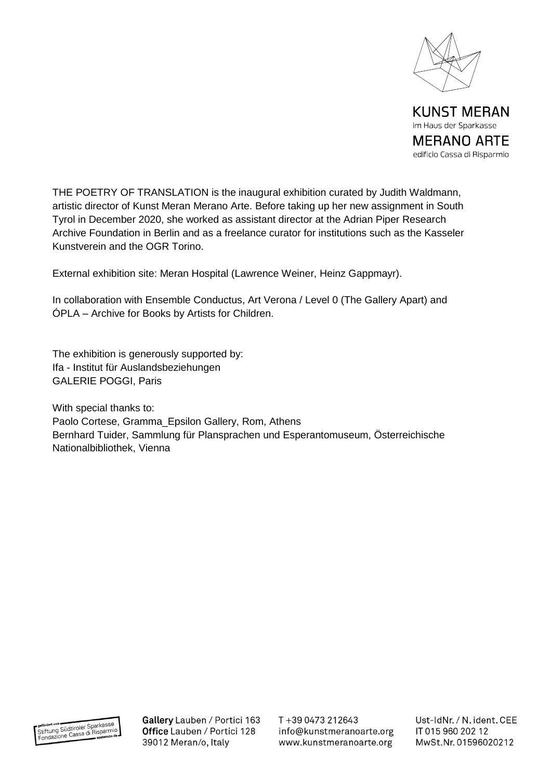

edificio Cassa di Risparmio

THE POETRY OF TRANSLATION is the inaugural exhibition curated by Judith Waldmann, artistic director of Kunst Meran Merano Arte. Before taking up her new assignment in South Tyrol in December 2020, she worked as assistant director at the Adrian Piper Research Archive Foundation in Berlin and as a freelance curator for institutions such as the Kasseler Kunstverein and the OGR Torino.

External exhibition site: Meran Hospital (Lawrence Weiner, Heinz Gappmayr).

In collaboration with Ensemble Conductus, Art Verona / Level 0 (The Gallery Apart) and ÓPLA – Archive for Books by Artists for Children.

The exhibition is generously supported by: Ifa - Institut für Auslandsbeziehungen GALERIE POGGI, Paris

With special thanks to: Paolo Cortese, Gramma\_Epsilon Gallery, Rom, Athens Bernhard Tuider, Sammlung für Plansprachen und Esperantomuseum, Österreichische Nationalbibliothek, Vienna

gefördert von<br>Stiftung Südtiroler Sparkasse<br>Fondazione Cassa di Risparmio

Gallery Lauben / Portici 163 Office Lauben / Portici 128 39012 Meran/o, Italy

T+39 0473 212643 info@kunstmeranoarte.org www.kunstmeranoarte.org